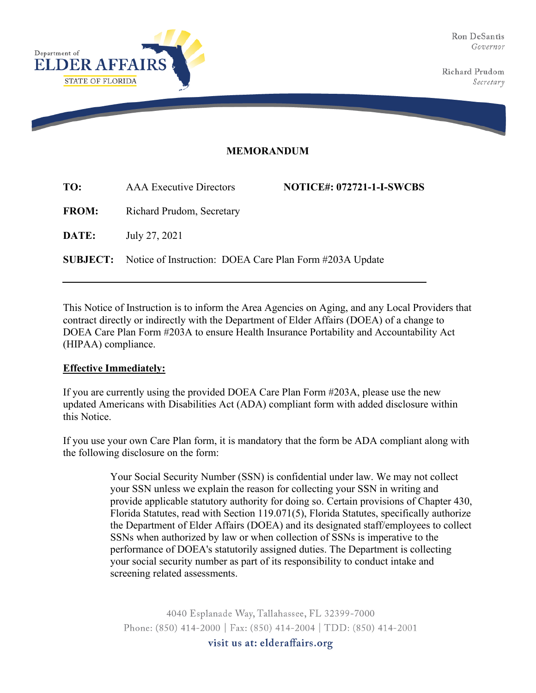Ron DeSantis Governor

Richard Prudom Secretary



## **MEMORANDUM**

| <b>AAA</b> Executive Directors | <b>NOTICE#: 072721-1-I-SWCBS</b>                                                                     |
|--------------------------------|------------------------------------------------------------------------------------------------------|
|                                |                                                                                                      |
| July 27, 2021                  |                                                                                                      |
|                                |                                                                                                      |
|                                | Richard Prudom, Secretary<br><b>SUBJECT:</b> Notice of Instruction: DOEA Care Plan Form #203A Update |

This Notice of Instruction is to inform the Area Agencies on Aging, and any Local Providers that contract directly or indirectly with the Department of Elder Affairs (DOEA) of a change to DOEA Care Plan Form #203A to ensure Health Insurance Portability and Accountability Act (HIPAA) compliance.

## **Effective Immediately:**

If you are currently using the provided DOEA Care Plan Form #203A, please use the new updated Americans with Disabilities Act (ADA) compliant form with added disclosure within this Notice.

If you use your own Care Plan form, it is mandatory that the form be ADA compliant along with the following disclosure on the form:

> Your Social Security Number (SSN) is confidential under law. We may not collect your SSN unless we explain the reason for collecting your SSN in writing and provide applicable statutory authority for doing so. Certain provisions of Chapter 430, Florida Statutes, read with Section 119.071(5), Florida Statutes, specifically authorize the Department of Elder Affairs (DOEA) and its designated staff/employees to collect SSNs when authorized by law or when collection of SSNs is imperative to the performance of DOEA's statutorily assigned duties. The Department is collecting your social security number as part of its responsibility to conduct intake and screening related assessments.

4040 Esplanade Way, Tallahassee, FL 32399-7000 Phone: (850) 414-2000 | Fax: (850) 414-2004 | TDD: (850) 414-2001 visit us at: elderaffairs.org